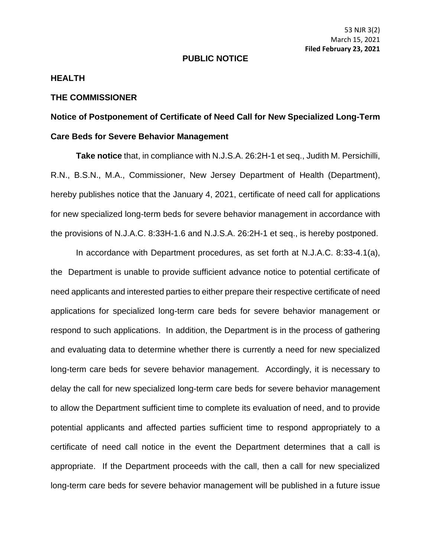## **PUBLIC NOTICE**

## **HEALTH**

## **THE COMMISSIONER**

## **Notice of Postponement of Certificate of Need Call for New Specialized Long-Term Care Beds for Severe Behavior Management**

**Take notice** that, in compliance with N.J.S.A. 26:2H-1 et seq., Judith M. Persichilli, R.N., B.S.N., M.A., Commissioner, New Jersey Department of Health (Department), hereby publishes notice that the January 4, 2021, certificate of need call for applications for new specialized long-term beds for severe behavior management in accordance with the provisions of N.J.A.C. 8:33H-1.6 and N.J.S.A. 26:2H-1 et seq., is hereby postponed.

In accordance with Department procedures, as set forth at N.J.A.C. 8:33-4.1(a), the Department is unable to provide sufficient advance notice to potential certificate of need applicants and interested parties to either prepare their respective certificate of need applications for specialized long-term care beds for severe behavior management or respond to such applications. In addition, the Department is in the process of gathering and evaluating data to determine whether there is currently a need for new specialized long-term care beds for severe behavior management. Accordingly, it is necessary to delay the call for new specialized long-term care beds for severe behavior management to allow the Department sufficient time to complete its evaluation of need, and to provide potential applicants and affected parties sufficient time to respond appropriately to a certificate of need call notice in the event the Department determines that a call is appropriate. If the Department proceeds with the call, then a call for new specialized long-term care beds for severe behavior management will be published in a future issue